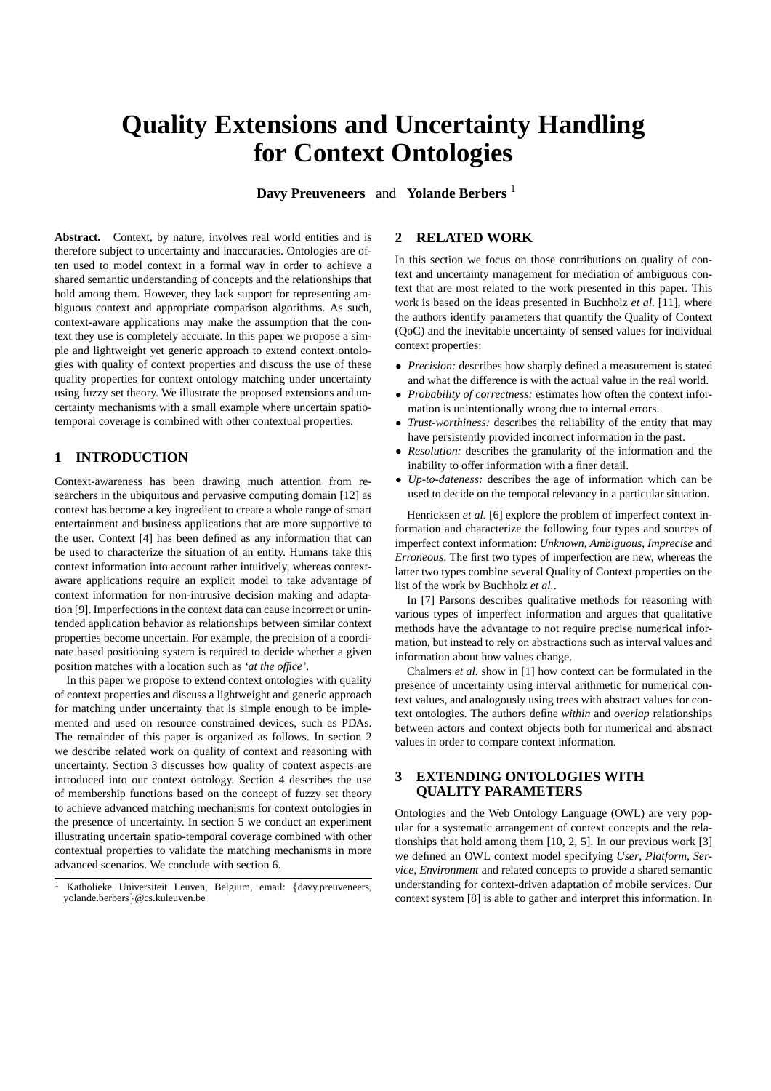# **Quality Extensions and Uncertainty Handling for Context Ontologies**

**Davy Preuveneers** and **Yolande Berbers** <sup>1</sup>

Abstract. Context, by nature, involves real world entities and is therefore subject to uncertainty and inaccuracies. Ontologies are often used to model context in a formal way in order to achieve a shared semantic understanding of concepts and the relationships that hold among them. However, they lack support for representing ambiguous context and appropriate comparison algorithms. As such, context-aware applications may make the assumption that the context they use is completely accurate. In this paper we propose a simple and lightweight yet generic approach to extend context ontologies with quality of context properties and discuss the use of these quality properties for context ontology matching under uncertainty using fuzzy set theory. We illustrate the proposed extensions and uncertainty mechanisms with a small example where uncertain spatiotemporal coverage is combined with other contextual properties.

## **1 INTRODUCTION**

Context-awareness has been drawing much attention from researchers in the ubiquitous and pervasive computing domain [12] as context has become a key ingredient to create a whole range of smart entertainment and business applications that are more supportive to the user. Context [4] has been defined as any information that can be used to characterize the situation of an entity. Humans take this context information into account rather intuitively, whereas contextaware applications require an explicit model to take advantage of context information for non-intrusive decision making and adaptation [9]. Imperfections in the context data can cause incorrect or unintended application behavior as relationships between similar context properties become uncertain. For example, the precision of a coordinate based positioning system is required to decide whether a given position matches with a location such as *'at the office'*.

In this paper we propose to extend context ontologies with quality of context properties and discuss a lightweight and generic approach for matching under uncertainty that is simple enough to be implemented and used on resource constrained devices, such as PDAs. The remainder of this paper is organized as follows. In section 2 we describe related work on quality of context and reasoning with uncertainty. Section 3 discusses how quality of context aspects are introduced into our context ontology. Section 4 describes the use of membership functions based on the concept of fuzzy set theory to achieve advanced matching mechanisms for context ontologies in the presence of uncertainty. In section 5 we conduct an experiment illustrating uncertain spatio-temporal coverage combined with other contextual properties to validate the matching mechanisms in more advanced scenarios. We conclude with section 6.

## **2 RELATED WORK**

In this section we focus on those contributions on quality of context and uncertainty management for mediation of ambiguous context that are most related to the work presented in this paper. This work is based on the ideas presented in Buchholz *et al.* [11], where the authors identify parameters that quantify the Quality of Context (QoC) and the inevitable uncertainty of sensed values for individual context properties:

- *Precision:* describes how sharply defined a measurement is stated and what the difference is with the actual value in the real world.
- *Probability of correctness:* estimates how often the context information is unintentionally wrong due to internal errors.
- *Trust-worthiness:* describes the reliability of the entity that may have persistently provided incorrect information in the past.
- *Resolution:* describes the granularity of the information and the inability to offer information with a finer detail.
- *Up-to-dateness:* describes the age of information which can be used to decide on the temporal relevancy in a particular situation.

Henricksen *et al.* [6] explore the problem of imperfect context information and characterize the following four types and sources of imperfect context information: *Unknown*, *Ambiguous*, *Imprecise* and *Erroneous*. The first two types of imperfection are new, whereas the latter two types combine several Quality of Context properties on the list of the work by Buchholz *et al.*.

In [7] Parsons describes qualitative methods for reasoning with various types of imperfect information and argues that qualitative methods have the advantage to not require precise numerical information, but instead to rely on abstractions such as interval values and information about how values change.

Chalmers *et al.* show in [1] how context can be formulated in the presence of uncertainty using interval arithmetic for numerical context values, and analogously using trees with abstract values for context ontologies. The authors define *within* and *overlap* relationships between actors and context objects both for numerical and abstract values in order to compare context information.

## **3 EXTENDING ONTOLOGIES WITH QUALITY PARAMETERS**

Ontologies and the Web Ontology Language (OWL) are very popular for a systematic arrangement of context concepts and the relationships that hold among them [10, 2, 5]. In our previous work [3] we defined an OWL context model specifying *User*, *Platform*, *Service*, *Environment* and related concepts to provide a shared semantic understanding for context-driven adaptation of mobile services. Our context system [8] is able to gather and interpret this information. In

<sup>1</sup> Katholieke Universiteit Leuven, Belgium, email: {davy.preuveneers, yolande.berbers}@cs.kuleuven.be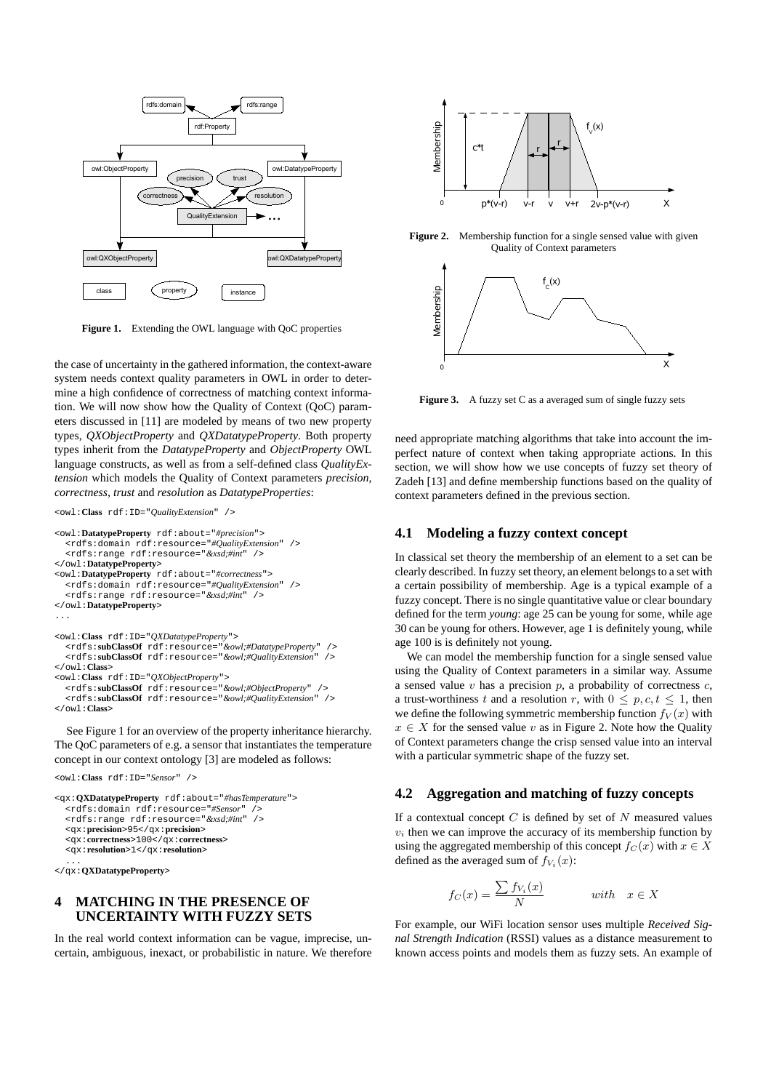

Figure 1. Extending the OWL language with QoC properties

the case of uncertainty in the gathered information, the context-aware system needs context quality parameters in OWL in order to determine a high confidence of correctness of matching context information. We will now show how the Quality of Context (QoC) parameters discussed in [11] are modeled by means of two new property types, *QXObjectProperty* and *QXDatatypeProperty*. Both property types inherit from the *DatatypeProperty* and *ObjectProperty* OWL language constructs, as well as from a self-defined class *QualityExtension* which models the Quality of Context parameters *precision, correctness, trust* and *resolution* as *DatatypeProperties*:

```
<owl:Class rdf:ID="QualityExtension" />
<owl:DatatypeProperty rdf:about="#precision">
  <rdfs:domain rdf:resource="#QualityExtension" />
  <rdfs:range rdf:resource="&xsd;#int" />
</owl:DatatypeProperty>
<owl:DatatypeProperty rdf:about="#correctness">
  <rdfs:domain rdf:resource="#QualityExtension" />
   <rdfs:range rdf:resource="&xsd;#int" />
</owl:DatatypeProperty>
...
<owl:Class rdf:ID="QXDatatypeProperty">
  <rdfs:subClassOf rdf:resource="&owl;#DatatypeProperty" />
  <rdfs:subClassOf rdf:resource="&owl;#QualityExtension" />
</owl:Class>
<owl:Class rdf:ID="QXObjectProperty">
<rdfs:subClassOf rdf:resource="&owl;#ObjectProperty" />
  <rdfs:subClassOf rdf:resource="&owl;#QualityExtension" />
</owl:Class>
```
See Figure 1 for an overview of the property inheritance hierarchy. The QoC parameters of e.g. a sensor that instantiates the temperature concept in our context ontology [3] are modeled as follows:

```
<qx:QXDatatypeProperty rdf:about="#hasTemperature">
  <rdfs:domain rdf:resource="#Sensor" />
  <rdfs:range rdf:resource="&xsd;#int" />
  <qx:precision>95</qx:precision>
  <qx:correctness>100</qx:correctness>
  <qx:resolution>1</qx:resolution>
```
... </qx:**QXDatatypeProperty**>

<owl:**Class** rdf:ID="*Sensor*" />

## **4 MATCHING IN THE PRESENCE OF UNCERTAINTY WITH FUZZY SETS**

In the real world context information can be vague, imprecise, uncertain, ambiguous, inexact, or probabilistic in nature. We therefore



**Figure 2.** Membership function for a single sensed value with given Quality of Context parameters



Figure 3. A fuzzy set C as a averaged sum of single fuzzy sets

need appropriate matching algorithms that take into account the imperfect nature of context when taking appropriate actions. In this section, we will show how we use concepts of fuzzy set theory of Zadeh [13] and define membership functions based on the quality of context parameters defined in the previous section.

#### **4.1 Modeling a fuzzy context concept**

In classical set theory the membership of an element to a set can be clearly described. In fuzzy set theory, an element belongs to a set with a certain possibility of membership. Age is a typical example of a fuzzy concept. There is no single quantitative value or clear boundary defined for the term *young*: age 25 can be young for some, while age 30 can be young for others. However, age 1 is definitely young, while age 100 is is definitely not young.

We can model the membership function for a single sensed value using the Quality of Context parameters in a similar way. Assume a sensed value  $v$  has a precision  $p$ , a probability of correctness  $c$ , a trust-worthiness t and a resolution r, with  $0 \le p, c, t \le 1$ , then we define the following symmetric membership function  $f_V(x)$  with  $x \in X$  for the sensed value v as in Figure 2. Note how the Quality of Context parameters change the crisp sensed value into an interval with a particular symmetric shape of the fuzzy set.

## **4.2 Aggregation and matching of fuzzy concepts**

If a contextual concept  $C$  is defined by set of  $N$  measured values  $v_i$  then we can improve the accuracy of its membership function by using the aggregated membership of this concept  $f_C(x)$  with  $x \in X$ defined as the averaged sum of  $f_{V_i}(x)$ :

$$
f_C(x) = \frac{\sum f_{V_i}(x)}{N} \qquad \text{with} \quad x \in X
$$

For example, our WiFi location sensor uses multiple *Received Signal Strength Indication* (RSSI) values as a distance measurement to known access points and models them as fuzzy sets. An example of